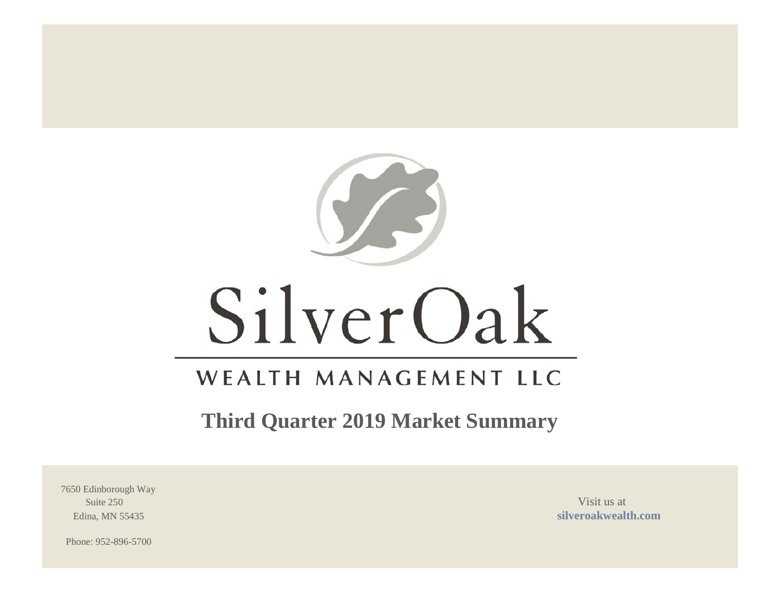

# SilverOak

# WEALTH MANAGEMENT LLC

**Third Quarter 2019 Market Summary**

7650 Edinborough Way Suite 250 Visit us at  $\frac{1}{2}$ 

Edina, MN 55435 **[silveroakwealth.com](http://www.silveroakwealth.com/silveroakwealth.aspx)**

Phone: 952-896-5700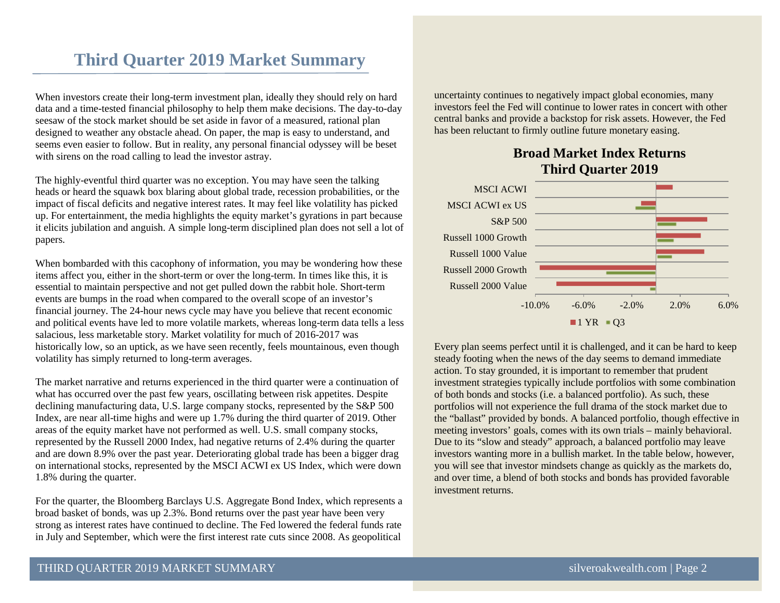# **Third Quarter 2019 Market Summary**

When investors create their long-term investment plan, ideally they should rely on hard data and a time-tested financial philosophy to help them make decisions. The day-to-day seesaw of the stock market should be set aside in favor of a measured, rational plan designed to weather any obstacle ahead. On paper, the map is easy to understand, and seems even easier to follow. But in reality, any personal financial odyssey will be beset with sirens on the road calling to lead the investor astray.

The highly-eventful third quarter was no exception. You may have seen the talking heads or heard the squawk box blaring about global trade, recession probabilities, or the impact of fiscal deficits and negative interest rates. It may feel like volatility has picked up. For entertainment, the media highlights the equity market's gyrations in part because it elicits jubilation and anguish. A simple long-term disciplined plan does not sell a lot of papers.

When bombarded with this cacophony of information, you may be wondering how these items affect you, either in the short-term or over the long-term. In times like this, it is essential to maintain perspective and not get pulled down the rabbit hole. Short-term events are bumps in the road when compared to the overall scope of an investor's financial journey. The 24-hour news cycle may have you believe that recent economic and political events have led to more volatile markets, whereas long-term data tells a less salacious, less marketable story. Market volatility for much of 2016-2017 was historically low, so an uptick, as we have seen recently, feels mountainous, even though volatility has simply returned to long-term averages.

The market narrative and returns experienced in the third quarter were a continuation of what has occurred over the past few years, oscillating between risk appetites. Despite declining manufacturing data, U.S. large company stocks, represented by the S&P 500 Index, are near all-time highs and were up 1.7% during the third quarter of 2019. Other areas of the equity market have not performed as well. U.S. small company stocks, represented by the Russell 2000 Index, had negative returns of 2.4% during the quarter and are down 8.9% over the past year. Deteriorating global trade has been a bigger drag on international stocks, represented by the MSCI ACWI ex US Index, which were down 1.8% during the quarter.

For the quarter, the Bloomberg Barclays U.S. Aggregate Bond Index, which represents a broad basket of bonds, was up 2.3%. Bond returns over the past year have been very strong as interest rates have continued to decline. The Fed lowered the federal funds rate in July and September, which were the first interest rate cuts since 2008. As geopolitical

uncertainty continues to negatively impact global economies, many investors feel the Fed will continue to lower rates in concert with other central banks and provide a backstop for risk assets. However, the Fed has been reluctant to firmly outline future monetary easing.

# **Broad Market Index Returns Third Quarter 2019**



Every plan seems perfect until it is challenged, and it can be hard to keep steady footing when the news of the day seems to demand immediate action. To stay grounded, it is important to remember that prudent investment strategies typically include portfolios with some combination of both bonds and stocks (i.e. a balanced portfolio). As such, these portfolios will not experience the full drama of the stock market due to the "ballast" provided by bonds. A balanced portfolio, though effective in meeting investors' goals, comes with its own trials – mainly behavioral. Due to its "slow and steady" approach, a balanced portfolio may leave investors wanting more in a bullish market. In the table below, however, you will see that investor mindsets change as quickly as the markets do, and over time, a blend of both stocks and bonds has provided favorable investment returns.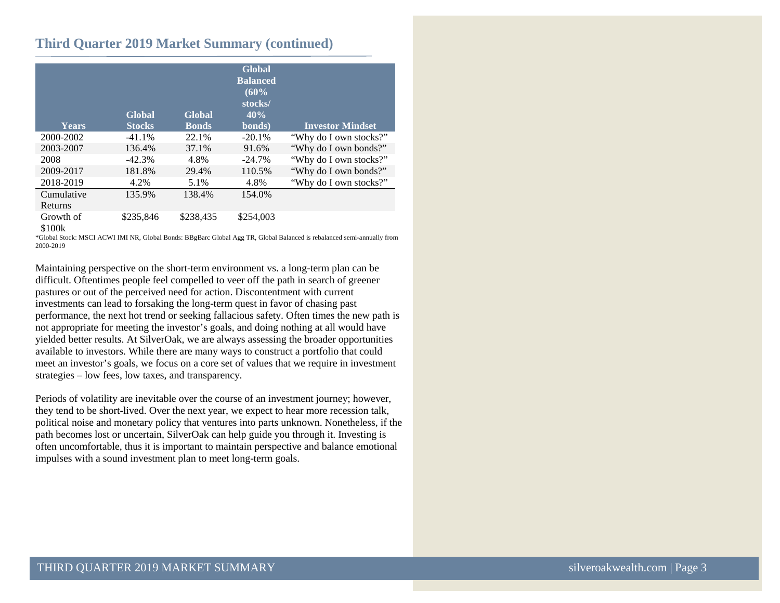#### **Third Quarter 2019 Market Summary (continued)**

| Years               | Global<br><b>Stocks</b> | Global<br><b>Bonds</b> | <b>Global</b><br><b>Balanced</b><br>(60%<br>stocks/<br>40%<br>bonds) | <b>Investor Mindset</b> |
|---------------------|-------------------------|------------------------|----------------------------------------------------------------------|-------------------------|
| 2000-2002           | $-41.1%$                | 22.1%                  | $-20.1%$                                                             | "Why do I own stocks?"  |
| 2003-2007           | 136.4%                  | 37.1%                  | 91.6%                                                                | "Why do I own bonds?"   |
| 2008                | $-42.3%$                | 4.8%                   | $-24.7%$                                                             | "Why do I own stocks?"  |
| 2009-2017           | 181.8%                  | 29.4%                  | 110.5%                                                               | "Why do I own bonds?"   |
| 2018-2019           | 4.2%                    | 5.1%                   | 4.8%                                                                 | "Why do I own stocks?"  |
| Cumulative          | 135.9%                  | 138.4%                 | 154.0%                                                               |                         |
| Returns             |                         |                        |                                                                      |                         |
| Growth of<br>\$100k | \$235,846               | \$238.435              | \$254,003                                                            |                         |

\*Global Stock: MSCI ACWI IMI NR, Global Bonds: BBgBarc Global Agg TR, Global Balanced is rebalanced semi-annually from 2000-2019

Maintaining perspective on the short-term environment vs. a long-term plan can be difficult. Oftentimes people feel compelled to veer off the path in search of greener pastures or out of the perceived need for action. Discontentment with current investments can lead to forsaking the long-term quest in favor of chasing past performance, the next hot trend or seeking fallacious safety. Often times the new path is not appropriate for meeting the investor's goals, and doing nothing at all would have yielded better results. At SilverOak, we are always assessing the broader opportunities available to investors. While there are many ways to construct a portfolio that could meet an investor's goals, we focus on a core set of values that we require in investment strategies – low fees, low taxes, and transparency.

Periods of volatility are inevitable over the course of an investment journey; however, they tend to be short-lived. Over the next year, we expect to hear more recession talk, political noise and monetary policy that ventures into parts unknown. Nonetheless, if the path becomes lost or uncertain, SilverOak can help guide you through it. Investing is often uncomfortable, thus it is important to maintain perspective and balance emotional impulses with a sound investment plan to meet long-term goals.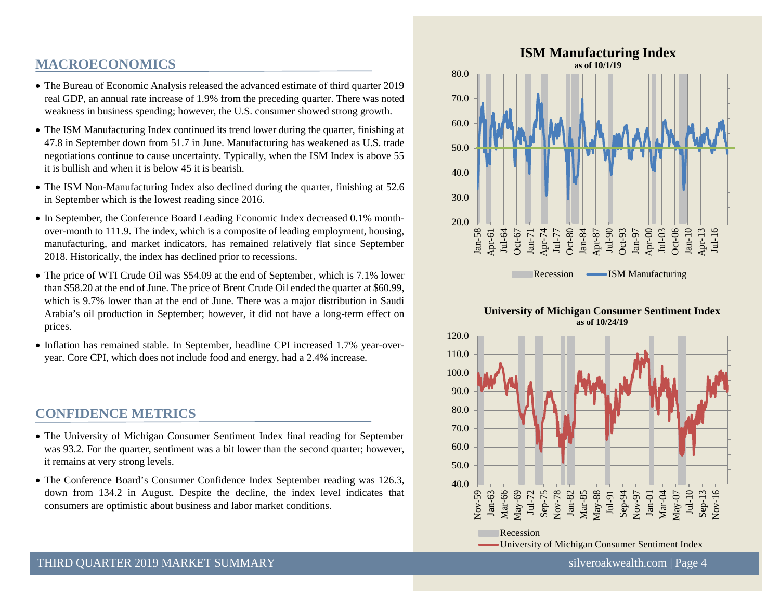# **MACROECONOMICS**

- The Bureau of Economic Analysis released the advanced estimate of third quarter 2019 real GDP, an annual rate increase of 1.9% from the preceding quarter. There was noted weakness in business spending; however, the U.S. consumer showed strong growth.
- The ISM Manufacturing Index continued its trend lower during the quarter, finishing at 47.8 in September down from 51.7 in June. Manufacturing has weakened as U.S. trade negotiations continue to cause uncertainty. Typically, when the ISM Index is above 55 it is bullish and when it is below 45 it is bearish.
- The ISM Non-Manufacturing Index also declined during the quarter, finishing at 52.6 in September which is the lowest reading since 2016.
- In September, the Conference Board Leading Economic Index decreased 0.1% monthover-month to 111.9. The index, which is a composite of leading employment, housing, manufacturing, and market indicators, has remained relatively flat since September 2018. Historically, the index has declined prior to recessions.
- The price of WTI Crude Oil was \$54.09 at the end of September, which is 7.1% lower than \$58.20 at the end of June. The price of Brent Crude Oil ended the quarter at \$60.99, which is 9.7% lower than at the end of June. There was a major distribution in Saudi Arabia's oil production in September; however, it did not have a long-term effect on prices.
- Inflation has remained stable. In September, headline CPI increased 1.7% year-overyear. Core CPI, which does not include food and energy, had a 2.4% increase.

# **CONFIDENCE METRICS**

- The University of Michigan Consumer Sentiment Index final reading for September was 93.2. For the quarter, sentiment was a bit lower than the second quarter; however, it remains at very strong levels.
- The Conference Board's Consumer Confidence Index September reading was 126.3, down from 134.2 in August. Despite the decline, the index level indicates that consumers are optimistic about business and labor market conditions.



#### **University of Michigan Consumer Sentiment Index as of 10/24/19**

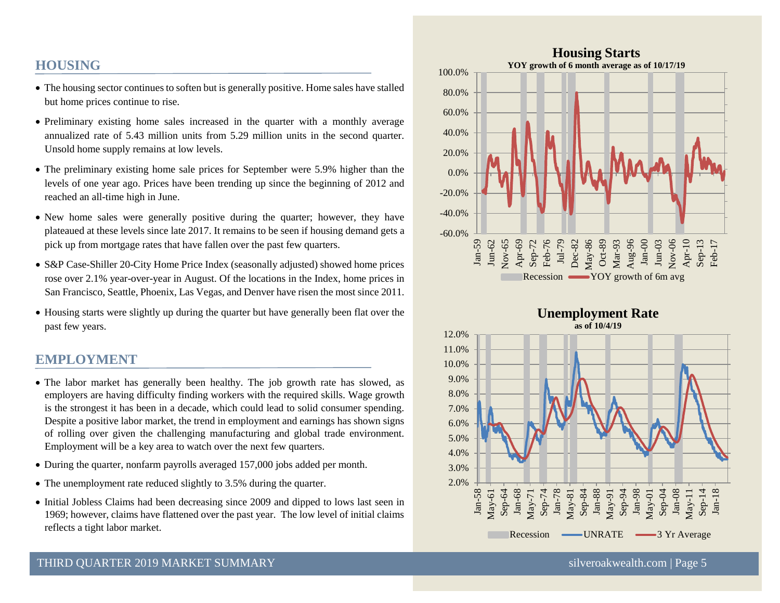# **HOUSING**

- The housing sector continues to soften but is generally positive. Home sales have stalled but home prices continue to rise.
- Preliminary existing home sales increased in the quarter with a monthly average annualized rate of 5.43 million units from 5.29 million units in the second quarter. Unsold home supply remains at low levels.
- The preliminary existing home sale prices for September were 5.9% higher than the levels of one year ago. Prices have been trending up since the beginning of 2012 and reached an all-time high in June.
- New home sales were generally positive during the quarter; however, they have plateaued at these levels since late 2017. It remains to be seen if housing demand gets a pick up from mortgage rates that have fallen over the past few quarters.
- S&P Case-Shiller 20-City Home Price Index (seasonally adjusted) showed home prices rose over 2.1% year-over-year in August. Of the locations in the Index, home prices in San Francisco, Seattle, Phoenix, Las Vegas, and Denver have risen the most since 2011.
- Housing starts were slightly up during the quarter but have generally been flat over the past few years.

# **EMPLOYMENT**

- The labor market has generally been healthy. The job growth rate has slowed, as employers are having difficulty finding workers with the required skills. Wage growth is the strongest it has been in a decade, which could lead to solid consumer spending. Despite a positive labor market, the trend in employment and earnings has shown signs of rolling over given the challenging manufacturing and global trade environment. Employment will be a key area to watch over the next few quarters.
- During the quarter, nonfarm payrolls averaged 157,000 jobs added per month.
- The unemployment rate reduced slightly to 3.5% during the quarter.
- Initial Jobless Claims had been decreasing since 2009 and dipped to lows last seen in 1969; however, claims have flattened over the past year. The low level of initial claims reflects a tight labor market.



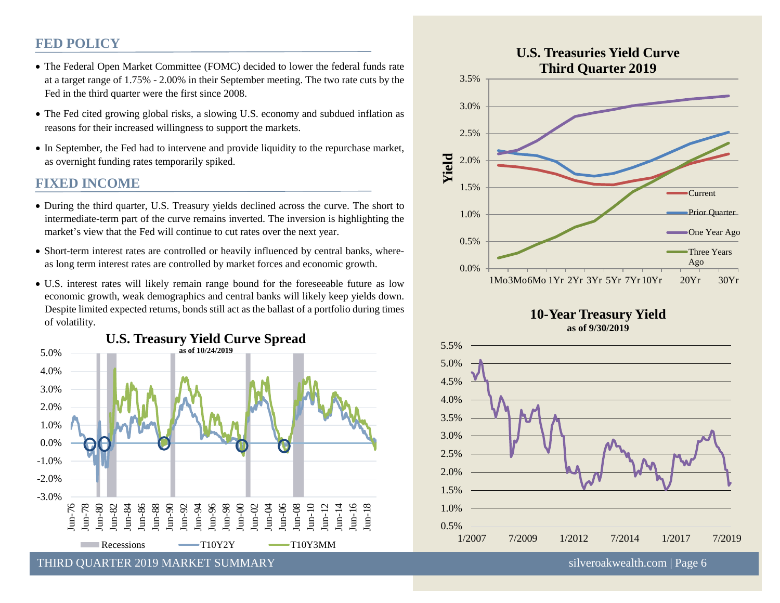## **FED POLICY**

- The Federal Open Market Committee (FOMC) decided to lower the federal funds rate at a target range of 1.75% - 2.00% in their September meeting. The two rate cuts by the Fed in the third quarter were the first since 2008.
- The Fed cited growing global risks, a slowing U.S. economy and subdued inflation as reasons for their increased willingness to support the markets.
- In September, the Fed had to intervene and provide liquidity to the repurchase market, as overnight funding rates temporarily spiked.

#### **FIXED INCOME**

- During the third quarter, U.S. Treasury yields declined across the curve. The short to intermediate-term part of the curve remains inverted. The inversion is highlighting the market's view that the Fed will continue to cut rates over the next year.
- Short-term interest rates are controlled or heavily influenced by central banks, whereas long term interest rates are controlled by market forces and economic growth.
- U.S. interest rates will likely remain range bound for the foreseeable future as low economic growth, weak demographics and central banks will likely keep yields down. Despite limited expected returns, bonds still act as the ballast of a portfolio during times of volatility.









THIRD OUARTER 2019 MARKET SUMMARY SILVERON SILVERO SILVEROAKWEALTHEED SILVEROAKWEALTHEED SILVEROAKWEALTHEED SI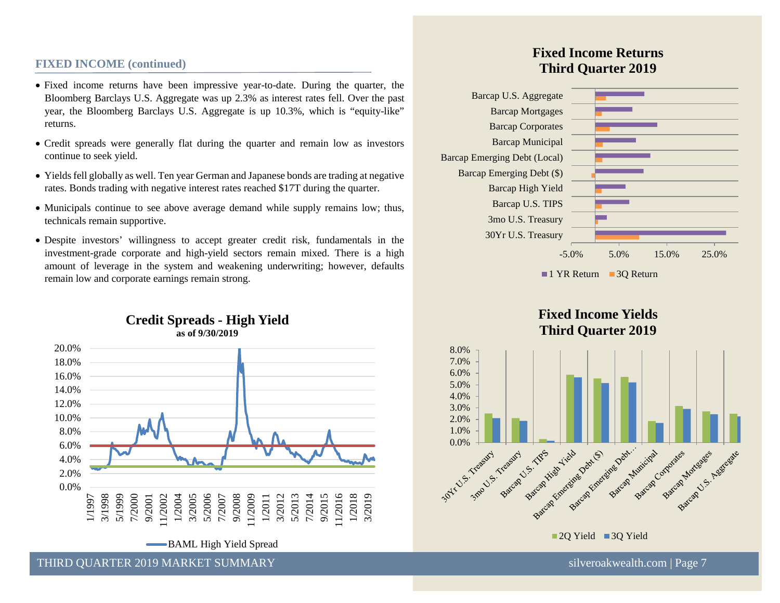#### **FIXED INCOME (continued)**

- Fixed income returns have been impressive year-to-date. During the quarter, the Bloomberg Barclays U.S. Aggregate was up 2.3% as interest rates fell. Over the past year, the Bloomberg Barclays U.S. Aggregate is up 10.3%, which is "equity-like" returns.
- Credit spreads were generally flat during the quarter and remain low as investors continue to seek yield.
- Yields fell globally as well. Ten year German and Japanese bonds are trading at negative rates. Bonds trading with negative interest rates reached \$17T during the quarter.
- Municipals continue to see above average demand while supply remains low; thus, technicals remain supportive.
- Despite investors' willingness to accept greater credit risk, fundamentals in the investment-grade corporate and high-yield sectors remain mixed. There is a high amount of leverage in the system and weakening underwriting; however, defaults remain low and corporate earnings remain strong.



-BAML High Yield Spread

# **Fixed Income Returns Third Quarter 2019**



**Fixed Income Yields Third Quarter 2019**

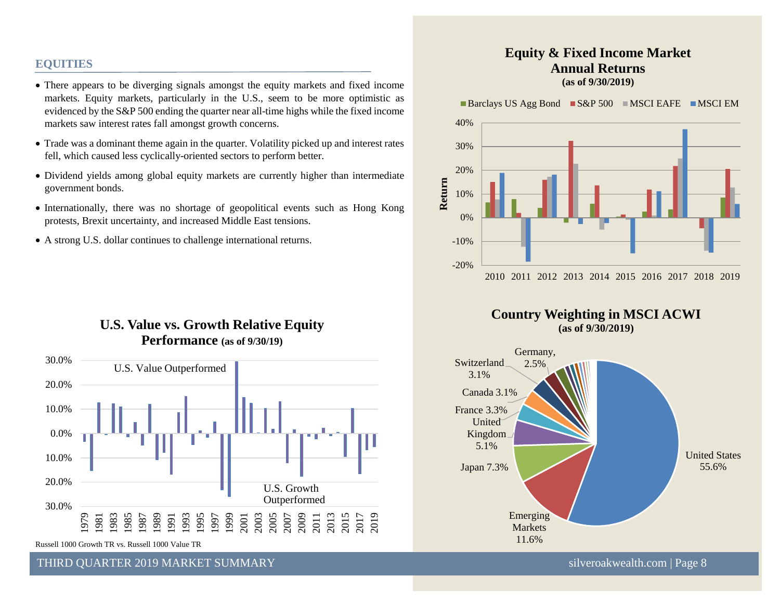#### **EQUITIES**

- There appears to be diverging signals amongst the equity markets and fixed income markets. Equity markets, particularly in the U.S., seem to be more optimistic as evidenced by the S&P 500 ending the quarter near all-time highs while the fixed income markets saw interest rates fall amongst growth concerns.
- Trade was a dominant theme again in the quarter. Volatility picked up and interest rates fell, which caused less cyclically-oriented sectors to perform better.
- Dividend yields among global equity markets are currently higher than intermediate government bonds.
- Internationally, there was no shortage of geopolitical events such as Hong Kong protests, Brexit uncertainty, and increased Middle East tensions.
- A strong U.S. dollar continues to challenge international returns.

# **U.S. Value vs. Growth Relative Equity Performance (as of 9/30/19)**



Russell 1000 Growth TR vs. Russell 1000 Value TR

THIRD OUARTER 2019 MARKET SUMMARY SILVERO AND SILVEROAKWEALTHEED SILVEROAKWEALTHEED SILVEROAKWEALTHEED SILVEROAKWEALTHEED SILVEROAKWEALTHEED SILVEROAKWEALTHEED SILVEROAKWEALTHEED SILVEROAKWEALTHEED SILVEROAKWEALTHEED SILVE

#### **Equity & Fixed Income Market Annual Returns (as of 9/30/2019)**

Barclays US Agg Bond  $SS\&P 500$  MSCI EAFE MSCI EM





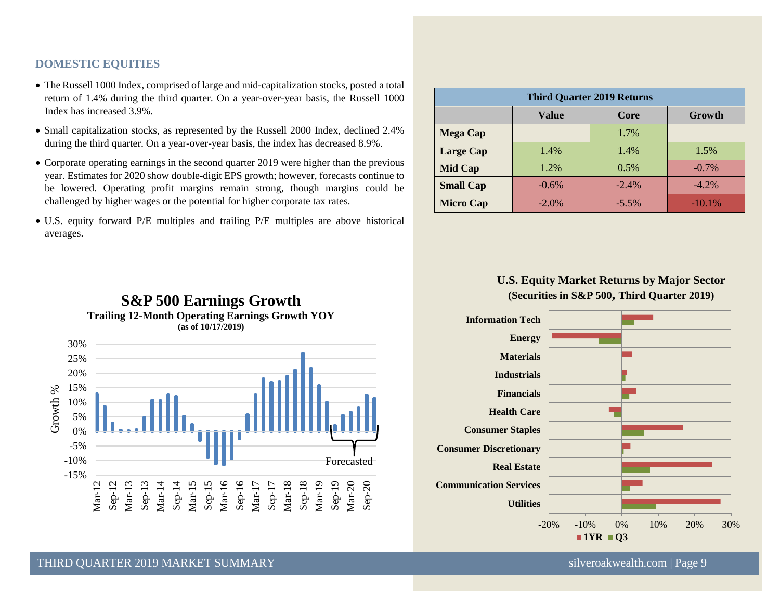#### **DOMESTIC EQUITIES**

- The Russell 1000 Index, comprised of large and mid-capitalization stocks, posted a total return of 1.4% during the third quarter. On a year-over-year basis, the Russell 1000 Index has increased 3.9%.
- Small capitalization stocks, as represented by the Russell 2000 Index, declined 2.4% during the third quarter. On a year-over-year basis, the index has decreased 8.9%.
- Corporate operating earnings in the second quarter 2019 were higher than the previous year. Estimates for 2020 show double-digit EPS growth; however, forecasts continue to be lowered. Operating profit margins remain strong, though margins could be challenged by higher wages or the potential for higher corporate tax rates.
- U.S. equity forward P/E multiples and trailing P/E multiples are above historical averages.

| <b>Third Quarter 2019 Returns</b> |          |         |          |  |  |  |
|-----------------------------------|----------|---------|----------|--|--|--|
|                                   | Value    | Core    | Growth   |  |  |  |
| <b>Mega Cap</b>                   |          | 1.7%    |          |  |  |  |
| <b>Large Cap</b>                  | 1.4%     | 1.4%    | 1.5%     |  |  |  |
| <b>Mid Cap</b>                    | 1.2%     | 0.5%    | $-0.7\%$ |  |  |  |
| <b>Small Cap</b>                  | $-0.6%$  | $-2.4%$ | $-4.2%$  |  |  |  |
| <b>Micro Cap</b>                  | $-2.0\%$ | $-5.5%$ | $-10.1%$ |  |  |  |

#### **U.S. Equity Market Returns by Major Sector (Securities in S&P 500, Third Quarter 2019)**





#### THIRD OUARTER 2019 MARKET SUMMARY SALL SERVICE SINGLE SUMMARY SILVEROAKWEALTHEED STATES SILVEROAKWEALTHEED STA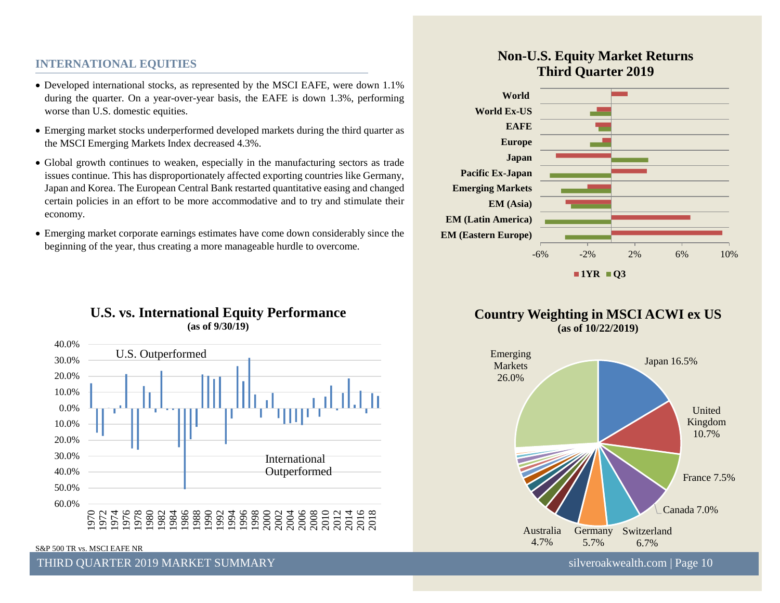#### **INTERNATIONAL EQUITIES**

- Developed international stocks, as represented by the MSCI EAFE, were down 1.1% during the quarter. On a year-over-year basis, the EAFE is down 1.3%, performing worse than U.S. domestic equities.
- Emerging market stocks underperformed developed markets during the third quarter as the MSCI Emerging Markets Index decreased 4.3%.
- Global growth continues to weaken, especially in the manufacturing sectors as trade issues continue. This has disproportionately affected exporting countries like Germany, Japan and Korea. The European Central Bank restarted quantitative easing and changed certain policies in an effort to be more accommodative and to try and stimulate their economy.
- Emerging market corporate earnings estimates have come down considerably since the beginning of the year, thus creating a more manageable hurdle to overcome.

#### **U.S. vs. International Equity Performance (as of 9/30/19)**



S&P 500 TR vs. MSCI EAFE NR

#### THIRD OUARTER 2019 MARKET SUMMARY SILVERSET SUMMARY SILVERSET SOMETIME SILVERSET SILVERSET SUMMARY

# **Non-U.S. Equity Market Returns Third Quarter 2019**